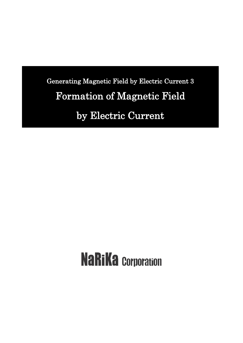Generating Magnetic Field by Electric Current 3 Formation of Magnetic Field by Electric Current

# **NaRiKa Corporation**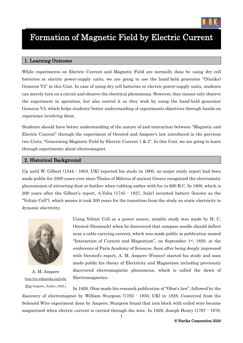

# Formation of Magnetic Field by Electric Current

#### 1. Learning Outcome

While experiments on Electric Current and Magnetic Field are normally done by using dry cell batteries or electric power-supply units, we are going to use the hand-held generator "(Narika) Genecon V3" in this Unit. In case of using dry cell batteries or electric power-supply units, students can merely turn on a circuit and observe the electrical phenomena. However, they cannot only observe the experiment in operation, but also control it as they wish by using the hand-held generator Genecon V3, which helps students' better understanding of experiments objectives through hands-on experience involving them.

Students should have better understanding of the nature of and interaction between "Magnetic and Electric Current" through the experiment of Oersted and Ampere's law introduced in the previous two Units, "Generating Magnetic Field by Electric Current 1 & 2". In this Unit, we are going to learn through experiments about electromagnet.

#### 2. Historical Background

Up until W. Gilbert (1544 - 1603, UK) reported his study in 1600, no major study report had been made public for 2200 years ever since Thales of Miletus of ancient Greece recognized the electrostatic phenomenon of attracting dust or feather when rubbing amber with fur in 600 B.C. In 1800, which is 200 years after the Gilbert's report, A.Volta (1745 - 1827, Italy) invented battery (known as the "Voltaic Cell"), which means it took 200 years for the transition from the study on static electricity to dynamic electricity.



A. M. Ampere [http://en.wikipedia.org/wiki](http://en.wikipedia.org/wiki/File) [/File:A](http://en.wikipedia.org/wiki/File)mpere\_Andre\_1825.j

Using Voltaic Cell as a power source, notable study was made by H. C. Oersted (Denmark) when he discovered that compass needle should deflect near a cable carrying current, which was made public in publication named "Interaction of Current and Magnetism", on September 1st , 1820, at the conference of Paris Academy of Sciences. Soon after being deeply impressed with Oersted's report, A. M. Ampere (France) started his study and soon made public his theory of Electricity and Magnetism including previously discovered electromagnetic phenomena, which is called the dawn of Electromagnetics.

In 1826, Ohm made his research publication of "Ohm's law", followed by the discovery of electromagnet by William Sturgeon (1783 - 1850, UK) in 1828. Conceived from the Solenoid Wire experiment done by Ampere, Sturgeon found that iron block with coiled wire became magnetized when electric current is carried through the wire. In 1829, Joseph Henry (1797 - 1878,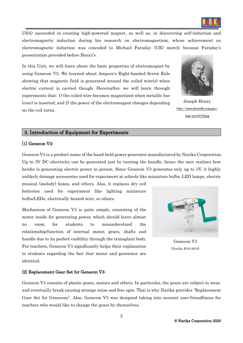

USA) succeeded in creating high-powered magnet, as well as, in discovering self-induction and electromagnetic induction during his research on electromagnetism, whose achievement on electromagnetic induction was conceded to Michael Faraday (UK) merely because Faraday's presentation preceded before Henry's.

In this Unit, we will learn about the basic properties of electromagnet by using Genecon V3. We learned about Ampere's Right-handed Screw Rule showing that magnetic field is generated around the coiled wire(s) when electric current is carried though. Hereinafter, we will learn through experiments that: 1) the coiled wire becomes magnetized when metallic bar (core) is inserted, and 2) the power of the electromagnet changes depending on the coil turns.



Joseph Henry [http://www.photolib.noaa.gov/](http://www.photolib.noaa.gov/bigs/pers0124.jpg) [bigs/pers0124.jpg](http://www.photolib.noaa.gov/bigs/pers0124.jpg)

#### 3. Introduction of Equipment for Experiments

#### [1] Genecon V3:

Genecon V3 is a product name of the hand-held power generator manufactured by Narika Corporation. Up to 3V DC electricity can be generated just by turning the handle, hence the user realizes how he/she is generating electric power in person. Since Genecon V3 generates only up to 3V, it highly unlikely damage accessories used for experiment at schools like miniature bulbs, LED lamps, electric

musical (melody) boxes, and others. Also, it replaces dry cell batteries used for experiment like lighting miniature bulbs/LEDs, electrically heated wire, or others.

Mechanism of Genecon V3 is quite simple, consisting of the motor inside for generating power, which should leave almost no room for students to misunderstand the relationship/function of internal motor, gears, shafts and handle due to its perfect visibility through the transplant body. For teachers, Genecon V3 significantly helps their explanation to students regarding the fact that motor and generator are identical.



Genecon V3 (Narika B10-2634)

#### [2] Replacement Gear Set for Genecon V3:

Genecon V3 consists of plastic gears, motors and others. In particular, the gears are subject to wear, and eventually break causing strange noise and free spin. Thai is why Narika provides "Replacement Gear Set for Genecons". Also, Genecon V3 was designed taking into account user-friendliness for teachers who would like to change the gears by themselves.

2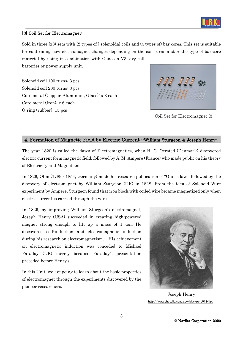

#### [3] Coil Set for Electromagnet:

Sold in three (x3) sets with (2 types of ) solenoidal coils and (4 types of) bar-cores. This set is suitable for confirming how electromagnet changes depending on the coil turns and/or the type of bar-core material by using in combination with Genecon V3, dry cell batteries or power supply unit.

Solenoid coil 100 turns: 3 pcs Solenoid coil 200 turns: 3 pcs Core metal (Copper, Aluminum, Glass): x 3 each Core metal (Iron): x 6 each O-ring (rubber): 15 pcs



Coil Set for Electromagnet (3

#### 4. Formation of Magnetic Field by Electric Current ~William Sturgeon & Joseph Henry~

The year 1820 is called the dawn of Electromagnetics, when H. C. Oersted (Denmark) discovered electric current form magnetic field, followed by A. M. Ampere (France) who made public on his theory of Electricity and Magnetism.

In 1826, Ohm (1789 - 1854, Germany) made his research publication of "Ohm's law", followed by the discovery of electromagnet by William Sturgeon (UK) in 1828. From the idea of Solenoid Wire experiment by Ampere, Sturgeon found that iron block with coiled wire became magnetized only when electric current is carried through the wire.

In 1829, by improving William Sturgeon's electromagnet, Joseph Henry (USA) succeeded in creating high-powered magnet strong enough to lift up a mass of 1 ton. He discovered self-induction and electromagnetic induction during his research on electromagnetism. His achievement on electromagnetic induction was conceded to Michael Faraday (UK) merely because Faraday's presentation preceded before Henry's.

In this Unit, we are going to learn about the basic properties of electromagnet through the experiments discovered by the pioneer researchers.



Joseph Henry <http://www.photolib.noaa.gov/bigs/pers0124.jpg>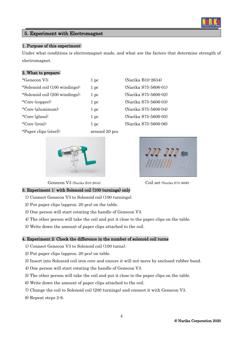### 5. Experiment with Electromagnet

#### 1. Purpose of this experiment:

Under what conditions is electromagnet made, and what are the factors that determine strength of electromagnet.

#### 2. What to prepare:

| *Genecon V3:                   | 1~pc | (Narika B10-2634)    |
|--------------------------------|------|----------------------|
| *Solenoid coil (100 windings): | 1~pc | (Narika S75-5606-01) |
| *Solenoid coil (200 windings): | 1 pc | (Narika S75-5606-02) |
| *Core (copper):                | 1 pc | (Narika S75-5606-03) |
| *Core (aluminum):              | 1~pc | (Narika S75-5606-04) |
| *Core (glass):                 | 1 pc | (Narika S75-5606-05) |
| *Core $(iron)$ :               | 1~pc | (Narika S75-5606-06) |
|                                |      |                      |

\*Paper clips (steel): around 20 pcs



Genecon V3 (Narika B10-2634) Coil set (Narika S75-5606)

# 3. Experiment 1: with Solenoid coil (100 turnings) only

- 1) Connect Genecon V3 to Solenoid coil (100 turnings).
- 2) Put paper clips (approx. 20 pcs) on the table.
- 3) One person will start rotating the handle of Genecon V3.
- 4) The other person will take the coil and put it close to the paper clips on the table.
- 5) Write down the amount of paper clips attached to the coil.

#### 4. Experiment 2: Check the difference in the number of solenoid coil turns

- 1) Connect Genecon V3 to Solenoid coil (100 turns).
- 2) Put paper clips (approx. 20 pcs) on table.
- 3) Insert into Solenoid coil iron core and ensure it will not move by enclosed rubber band.
- 4) One person will start rotating the handle of Genecon V3.
- 5) The other person will take the coil and put it close to the paper clips on the table.
- 6) Write down the amount of paper clips attached to the coil.
- 7) Change the coil to Solenoid coil (200 turnings) and connect it with Genecon V3.
- 8) Repeat steps 2-6.



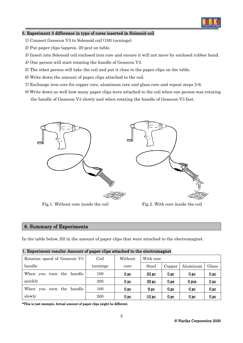

#### 5. Experiment 3 difference in type of cores inserted in Solenoid coil

- 1) Connect Genecon V3 to Solenoid coil (100 turnings).
- 2) Put paper clips (approx. 20 pcs) on table.
- 3) Insert into Solenoid coil enclosed iron core and ensure it will not move by enclosed rubber band.
- 4) One person will start rotating the handle of Genecon V3.
- 5) The other person will take the coil and put it close to the paper clips on the table.
- 6) Write down the amount of paper clips attached to the coil.
- 7) Exchange iron core for copper core, aluminum core and glass core and repeat steps 2-6.
- 8) Write down as well how many paper clips were attached to the coil when one person was rotating the handle of Genecon V3 slowly and when rotating the handle of Genecon V3 fast.



Fig.1. Without core inside the coil Fig.2. With core inside the coil

#### 6. Summary of Experiments

In the table below, fill in the amount of paper clips that were attached to the electromagnet.

| 1. Experiment results: Amount of paper clips attached to the electromagnet |  |
|----------------------------------------------------------------------------|--|
|----------------------------------------------------------------------------|--|

| Rotation speed of Genecon V3 | Coil     | Without         | With core        |                 |                  |                 |
|------------------------------|----------|-----------------|------------------|-----------------|------------------|-----------------|
| handle                       | turnings | core            | <b>Steel</b>     | Copper          | Aluminum         | Glass           |
| When you turn the handle     | 100      | 0 <sub>pc</sub> | 23pc             | 0 <sub>pc</sub> | 0 <sub>pc</sub>  | 0 <sub>pc</sub> |
| quickly                      | 200      | 0 <sub>pc</sub> | 39 <sub>pc</sub> | 0 <sub>ps</sub> | 0 <sub>pos</sub> | 0 <sub>pc</sub> |
| When you turn the handle     | 100      | 0 <sub>pc</sub> | 9 <sub>pc</sub>  | 0 <sub>pc</sub> | 0 <sub>pc</sub>  | 0 <sub>pc</sub> |
| slowly                       | 200      | 0 <sub>pc</sub> | 10 <sub>pc</sub> | 0 <sub>pc</sub> | 0 <sub>pc</sub>  | 0 <sub>pc</sub> |

\*This is just example. Actual amount of paper clips might be different.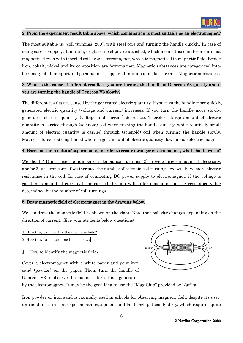

#### 2. From the experiment result table above, which combination is most suitable as an electromagnet?

The most suitable is: "coil turnings: 200", with steel core and turning the handle quickly. In case of using core of copper, aluminum, or glass, no clips are attached, which means those materials are not magnetized even with inserted coil. Iron is ferromagnet, which is magnetized in magnetic field. Beside iron, cobalt, nickel and its composition are ferromagnet. Magnetic substances are categorized into: ferromagnet, diamagnet and paramagnet. Copper, aluminum and glass are also Magnetic substances.

## 3. What is the cause of different results if you are turning the handle of Genecon V3 quickly and if you are turning the handle of Genecon V3 slowly?

The different results are caused by the generated electric quantity. If you turn the handle more quickly, generated electric quantity (voltage and current) increases. If you turn the handle more slowly, generated electric quantity (voltage and current) decreases. Therefore, large amount of electric quantity is carried through (solenoid) coil when turning the handle quickly, while relatively small amount of electric quantity is carried through (solenoid) coil when turning the handle slowly. Magnetic force is strengthened when larger amount of electric quantity flows inside electric magnet.

#### 4. Based on the results of experiments, in order to create stronger electromagnet, what should we do?

We should: 1) increase the number of solenoid coil turnings, 2) provide larger amount of electricity, and/or 3) use iron core. If we increase the number of solenoid coil turnings, we will have more electric resistance in the coil. In case of connecting DC power supply to electromagnet, if the voltage is constant, amount of current to be carried through will differ depending on the resistance value determined by the number of coil turnings.

#### 5. Draw magnetic field of electromagnet in the drawing below.

We can draw the magnetic field as shown on the right. Note that polarity changes depending on the direction of current. Give your students below questions:

```
1. How they can identify the magnetic field?
2. How they can determine the polarity?
```
1. How to identify the magnetic field:

Cover a electromagnet with a white paper and pour iron sand (powder) on the paper. Then, turn the handle of Genecon V3 to observe the magnetic force lines generated



by the electromagnet. It may be the good idea to use the "Mag Chip" provided by Narika.

Iron powder or iron sand is normally used in schools for observing magnetic field despite its userunfriendliness in that experimental equipment and lab bench get easily dirty, which requires quite